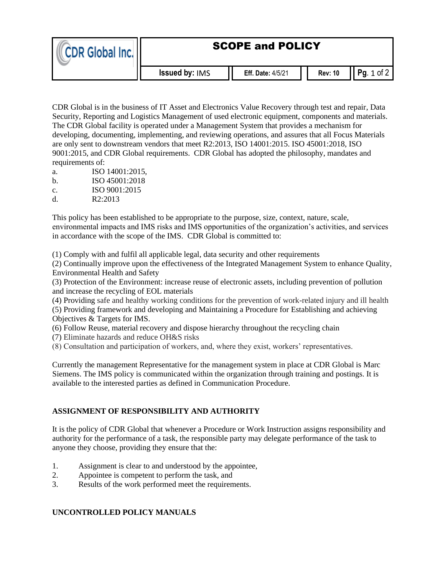| CDR Global Inc. In | <b>SCOPE and POLICY</b> |                          |                |                |  |
|--------------------|-------------------------|--------------------------|----------------|----------------|--|
|                    | <b>Issued by: IMS</b>   | <b>Eff. Date: 4/5/21</b> | <b>Rev: 10</b> | Pq. $1$ of $2$ |  |

CDR Global is in the business of IT Asset and Electronics Value Recovery through test and repair, Data Security, Reporting and Logistics Management of used electronic equipment, components and materials. The CDR Global facility is operated under a Management System that provides a mechanism for developing, documenting, implementing, and reviewing operations, and assures that all Focus Materials are only sent to downstream vendors that meet R2:2013, ISO 14001:2015. ISO 45001:2018, ISO 9001:2015, and CDR Global requirements. CDR Global has adopted the philosophy, mandates and requirements of:

- a. ISO 14001:2015,
- b. ISO 45001:2018
- c. ISO 9001:2015
- d. R2:2013

This policy has been established to be appropriate to the purpose, size, context, nature, scale, environmental impacts and IMS risks and IMS opportunities of the organization's activities, and services in accordance with the scope of the IMS. CDR Global is committed to:

(1) Comply with and fulfil all applicable legal, data security and other requirements

(2) Continually improve upon the effectiveness of the Integrated Management System to enhance Quality, Environmental Health and Safety

(3) Protection of the Environment: increase reuse of electronic assets, including prevention of pollution and increase the recycling of EOL materials

(4) Providing safe and healthy working conditions for the prevention of work-related injury and ill health

(5) Providing framework and developing and Maintaining a Procedure for Establishing and achieving Objectives & Targets for IMS.

(6) Follow Reuse, material recovery and dispose hierarchy throughout the recycling chain

(7) Eliminate hazards and reduce OH&S risks

(8) Consultation and participation of workers, and, where they exist, workers' representatives.

Currently the management Representative for the management system in place at CDR Global is Marc Siemens. The IMS policy is communicated within the organization through training and postings. It is available to the interested parties as defined in Communication Procedure.

## **ASSIGNMENT OF RESPONSIBILITY AND AUTHORITY**

It is the policy of CDR Global that whenever a Procedure or Work Instruction assigns responsibility and authority for the performance of a task, the responsible party may delegate performance of the task to anyone they choose, providing they ensure that the:

- 1. Assignment is clear to and understood by the appointee,
- 2. Appointee is competent to perform the task, and
- 3. Results of the work performed meet the requirements.

## **UNCONTROLLED POLICY MANUALS**